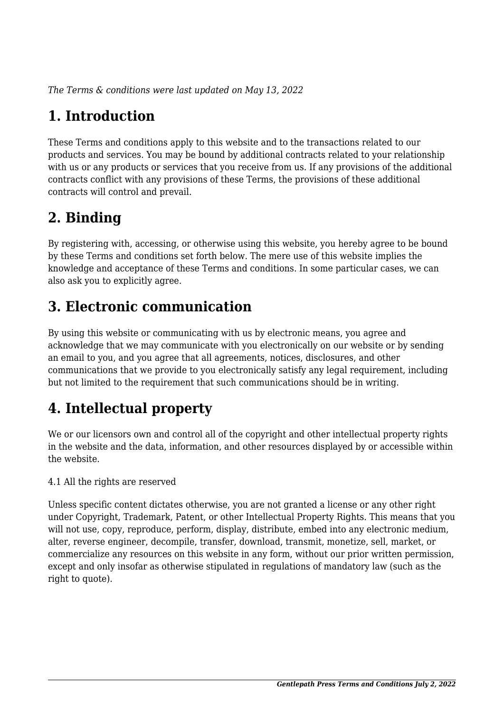*The Terms & conditions were last updated on May 13, 2022*

# **1. Introduction**

These Terms and conditions apply to this website and to the transactions related to our products and services. You may be bound by additional contracts related to your relationship with us or any products or services that you receive from us. If any provisions of the additional contracts conflict with any provisions of these Terms, the provisions of these additional contracts will control and prevail.

### **2. Binding**

By registering with, accessing, or otherwise using this website, you hereby agree to be bound by these Terms and conditions set forth below. The mere use of this website implies the knowledge and acceptance of these Terms and conditions. In some particular cases, we can also ask you to explicitly agree.

### **3. Electronic communication**

By using this website or communicating with us by electronic means, you agree and acknowledge that we may communicate with you electronically on our website or by sending an email to you, and you agree that all agreements, notices, disclosures, and other communications that we provide to you electronically satisfy any legal requirement, including but not limited to the requirement that such communications should be in writing.

# **4. Intellectual property**

We or our licensors own and control all of the copyright and other intellectual property rights in the website and the data, information, and other resources displayed by or accessible within the website.

4.1 All the rights are reserved

Unless specific content dictates otherwise, you are not granted a license or any other right under Copyright, Trademark, Patent, or other Intellectual Property Rights. This means that you will not use, copy, reproduce, perform, display, distribute, embed into any electronic medium, alter, reverse engineer, decompile, transfer, download, transmit, monetize, sell, market, or commercialize any resources on this website in any form, without our prior written permission, except and only insofar as otherwise stipulated in regulations of mandatory law (such as the right to quote).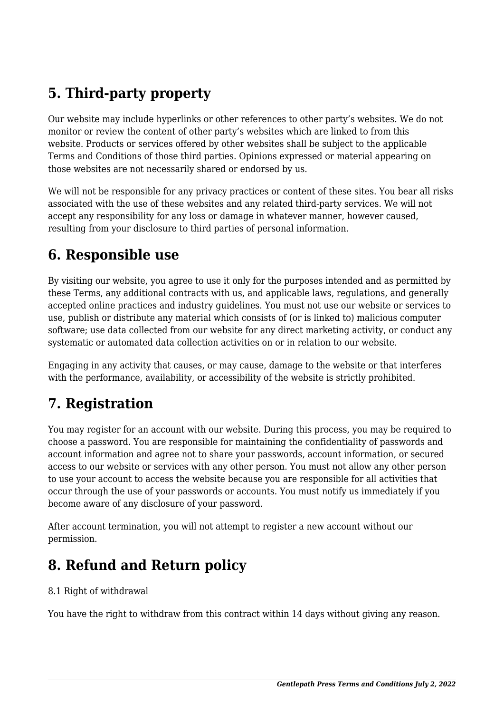# **5. Third-party property**

Our website may include hyperlinks or other references to other party's websites. We do not monitor or review the content of other party's websites which are linked to from this website. Products or services offered by other websites shall be subject to the applicable Terms and Conditions of those third parties. Opinions expressed or material appearing on those websites are not necessarily shared or endorsed by us.

We will not be responsible for any privacy practices or content of these sites. You bear all risks associated with the use of these websites and any related third-party services. We will not accept any responsibility for any loss or damage in whatever manner, however caused, resulting from your disclosure to third parties of personal information.

#### **6. Responsible use**

By visiting our website, you agree to use it only for the purposes intended and as permitted by these Terms, any additional contracts with us, and applicable laws, regulations, and generally accepted online practices and industry guidelines. You must not use our website or services to use, publish or distribute any material which consists of (or is linked to) malicious computer software; use data collected from our website for any direct marketing activity, or conduct any systematic or automated data collection activities on or in relation to our website.

Engaging in any activity that causes, or may cause, damage to the website or that interferes with the performance, availability, or accessibility of the website is strictly prohibited.

#### **7. Registration**

You may register for an account with our website. During this process, you may be required to choose a password. You are responsible for maintaining the confidentiality of passwords and account information and agree not to share your passwords, account information, or secured access to our website or services with any other person. You must not allow any other person to use your account to access the website because you are responsible for all activities that occur through the use of your passwords or accounts. You must notify us immediately if you become aware of any disclosure of your password.

After account termination, you will not attempt to register a new account without our permission.

#### **8. Refund and Return policy**

#### 8.1 Right of withdrawal

You have the right to withdraw from this contract within 14 days without giving any reason.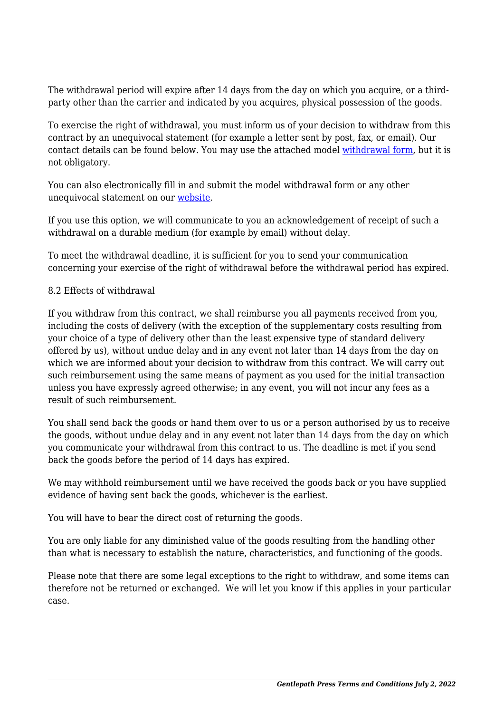The withdrawal period will expire after 14 days from the day on which you acquire, or a thirdparty other than the carrier and indicated by you acquires, physical possession of the goods.

To exercise the right of withdrawal, you must inform us of your decision to withdraw from this contract by an unequivocal statement (for example a letter sent by post, fax, or email). Our contact details can be found below. You may use the attached model [withdrawal form](https://gentlepath.com/wp-content/uploads/complianz/withdrawal-forms/withdrawal-form-en.pdf), but it is not obligatory.

You can also electronically fill in and submit the model withdrawal form or any other unequivocal statement on our [website](https://new.gentlepath.com/contact/).

If you use this option, we will communicate to you an acknowledgement of receipt of such a withdrawal on a durable medium (for example by email) without delay.

To meet the withdrawal deadline, it is sufficient for you to send your communication concerning your exercise of the right of withdrawal before the withdrawal period has expired.

#### 8.2 Effects of withdrawal

If you withdraw from this contract, we shall reimburse you all payments received from you, including the costs of delivery (with the exception of the supplementary costs resulting from your choice of a type of delivery other than the least expensive type of standard delivery offered by us), without undue delay and in any event not later than 14 days from the day on which we are informed about your decision to withdraw from this contract. We will carry out such reimbursement using the same means of payment as you used for the initial transaction unless you have expressly agreed otherwise; in any event, you will not incur any fees as a result of such reimbursement.

You shall send back the goods or hand them over to us or a person authorised by us to receive the goods, without undue delay and in any event not later than 14 days from the day on which you communicate your withdrawal from this contract to us. The deadline is met if you send back the goods before the period of 14 days has expired.

We may withhold reimbursement until we have received the goods back or you have supplied evidence of having sent back the goods, whichever is the earliest.

You will have to bear the direct cost of returning the goods.

You are only liable for any diminished value of the goods resulting from the handling other than what is necessary to establish the nature, characteristics, and functioning of the goods.

Please note that there are some legal exceptions to the right to withdraw, and some items can therefore not be returned or exchanged. We will let you know if this applies in your particular case.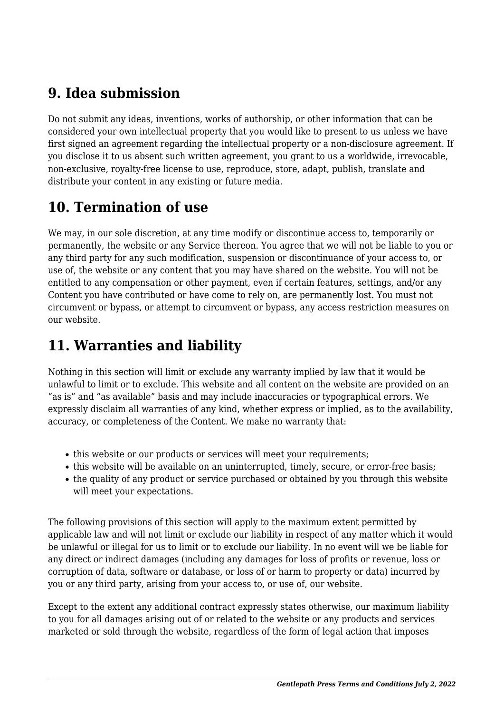#### **9. Idea submission**

Do not submit any ideas, inventions, works of authorship, or other information that can be considered your own intellectual property that you would like to present to us unless we have first signed an agreement regarding the intellectual property or a non-disclosure agreement. If you disclose it to us absent such written agreement, you grant to us a worldwide, irrevocable, non-exclusive, royalty-free license to use, reproduce, store, adapt, publish, translate and distribute your content in any existing or future media.

### **10. Termination of use**

We may, in our sole discretion, at any time modify or discontinue access to, temporarily or permanently, the website or any Service thereon. You agree that we will not be liable to you or any third party for any such modification, suspension or discontinuance of your access to, or use of, the website or any content that you may have shared on the website. You will not be entitled to any compensation or other payment, even if certain features, settings, and/or any Content you have contributed or have come to rely on, are permanently lost. You must not circumvent or bypass, or attempt to circumvent or bypass, any access restriction measures on our website.

### **11. Warranties and liability**

Nothing in this section will limit or exclude any warranty implied by law that it would be unlawful to limit or to exclude. This website and all content on the website are provided on an "as is" and "as available" basis and may include inaccuracies or typographical errors. We expressly disclaim all warranties of any kind, whether express or implied, as to the availability, accuracy, or completeness of the Content. We make no warranty that:

- this website or our products or services will meet your requirements;
- this website will be available on an uninterrupted, timely, secure, or error-free basis;
- the quality of any product or service purchased or obtained by you through this website will meet your expectations.

The following provisions of this section will apply to the maximum extent permitted by applicable law and will not limit or exclude our liability in respect of any matter which it would be unlawful or illegal for us to limit or to exclude our liability. In no event will we be liable for any direct or indirect damages (including any damages for loss of profits or revenue, loss or corruption of data, software or database, or loss of or harm to property or data) incurred by you or any third party, arising from your access to, or use of, our website.

Except to the extent any additional contract expressly states otherwise, our maximum liability to you for all damages arising out of or related to the website or any products and services marketed or sold through the website, regardless of the form of legal action that imposes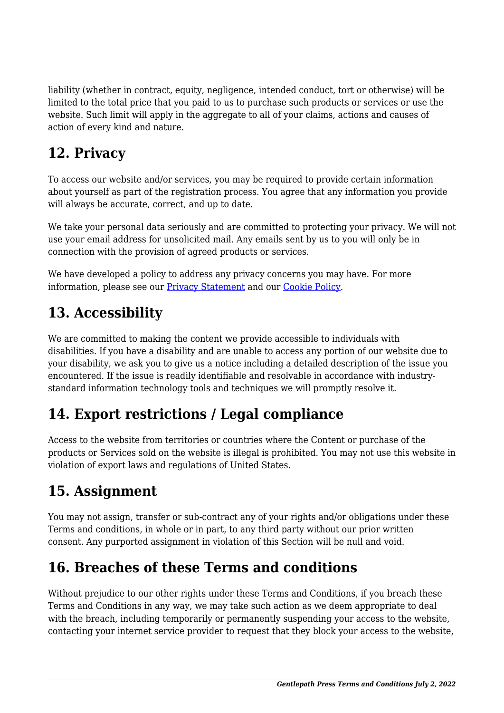liability (whether in contract, equity, negligence, intended conduct, tort or otherwise) will be limited to the total price that you paid to us to purchase such products or services or use the website. Such limit will apply in the aggregate to all of your claims, actions and causes of action of every kind and nature.

# **12. Privacy**

To access our website and/or services, you may be required to provide certain information about yourself as part of the registration process. You agree that any information you provide will always be accurate, correct, and up to date.

We take your personal data seriously and are committed to protecting your privacy. We will not use your email address for unsolicited mail. Any emails sent by us to you will only be in connection with the provision of agreed products or services.

We have developed a policy to address any privacy concerns you may have. For more information, please see our [Privacy Statement](#page--1-0) and our [Cookie Policy](https://new.gentlepath.com/cookie-policy-us/?cmplz_region_redirect=true).

# **13. Accessibility**

We are committed to making the content we provide accessible to individuals with disabilities. If you have a disability and are unable to access any portion of our website due to your disability, we ask you to give us a notice including a detailed description of the issue you encountered. If the issue is readily identifiable and resolvable in accordance with industrystandard information technology tools and techniques we will promptly resolve it.

### **14. Export restrictions / Legal compliance**

Access to the website from territories or countries where the Content or purchase of the products or Services sold on the website is illegal is prohibited. You may not use this website in violation of export laws and regulations of United States.

#### **15. Assignment**

You may not assign, transfer or sub-contract any of your rights and/or obligations under these Terms and conditions, in whole or in part, to any third party without our prior written consent. Any purported assignment in violation of this Section will be null and void.

### **16. Breaches of these Terms and conditions**

Without prejudice to our other rights under these Terms and Conditions, if you breach these Terms and Conditions in any way, we may take such action as we deem appropriate to deal with the breach, including temporarily or permanently suspending your access to the website, contacting your internet service provider to request that they block your access to the website,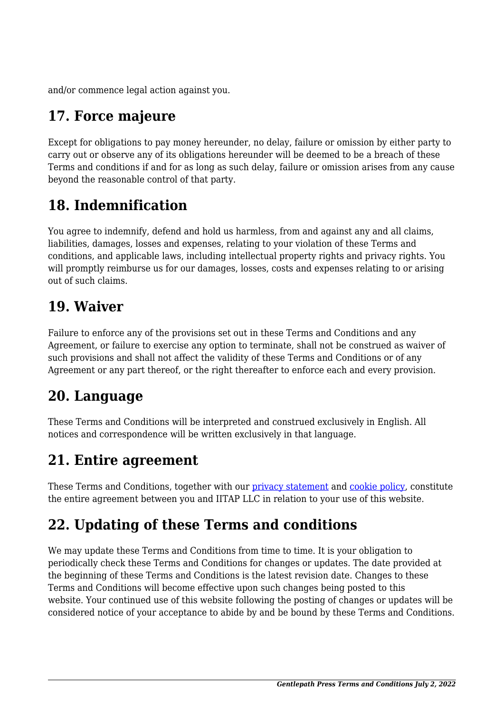and/or commence legal action against you.

# **17. Force majeure**

Except for obligations to pay money hereunder, no delay, failure or omission by either party to carry out or observe any of its obligations hereunder will be deemed to be a breach of these Terms and conditions if and for as long as such delay, failure or omission arises from any cause beyond the reasonable control of that party.

# **18. Indemnification**

You agree to indemnify, defend and hold us harmless, from and against any and all claims, liabilities, damages, losses and expenses, relating to your violation of these Terms and conditions, and applicable laws, including intellectual property rights and privacy rights. You will promptly reimburse us for our damages, losses, costs and expenses relating to or arising out of such claims.

#### **19. Waiver**

Failure to enforce any of the provisions set out in these Terms and Conditions and any Agreement, or failure to exercise any option to terminate, shall not be construed as waiver of such provisions and shall not affect the validity of these Terms and Conditions or of any Agreement or any part thereof, or the right thereafter to enforce each and every provision.

### **20. Language**

These Terms and Conditions will be interpreted and construed exclusively in English. All notices and correspondence will be written exclusively in that language.

### **21. Entire agreement**

These Terms and Conditions, together with our [privacy statement](#page--1-0) and [cookie policy,](https://new.gentlepath.com/cookie-policy-us/?cmplz_region_redirect=true) constitute the entire agreement between you and IITAP LLC in relation to your use of this website.

# **22. Updating of these Terms and conditions**

We may update these Terms and Conditions from time to time. It is your obligation to periodically check these Terms and Conditions for changes or updates. The date provided at the beginning of these Terms and Conditions is the latest revision date. Changes to these Terms and Conditions will become effective upon such changes being posted to this website. Your continued use of this website following the posting of changes or updates will be considered notice of your acceptance to abide by and be bound by these Terms and Conditions.